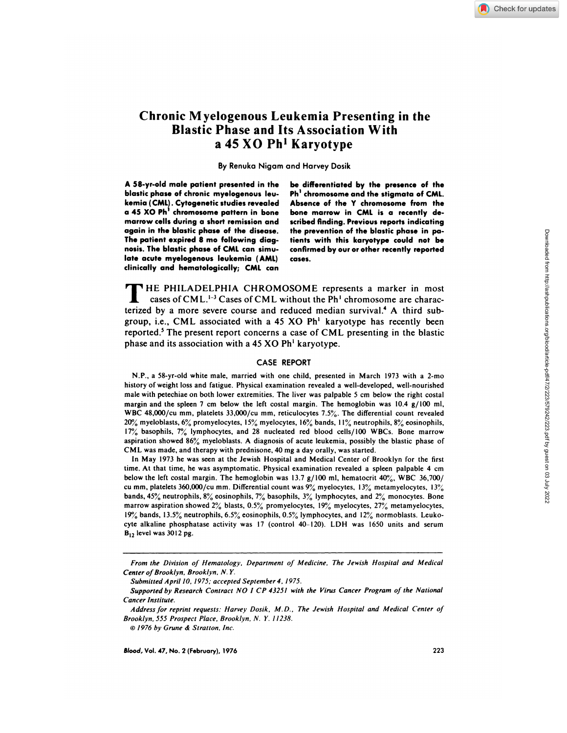# **Chronic Myelogenous Leukemia Presenting in the Blastic Phase and Its Association With a** *45* **XO Ph' Karyotype**

**By Renuka Nigam and Harvey Dosik**

**A 58-yr-old male patient presented in the be differentiated by the presence of the blastic phase of chronic myelogenous Ieu- Ph' chromosome and the stigmata of CML. kemia ( CML) . Cytogenetic studies revealed Absence of the <sup>Y</sup> chromosome from the marrow cells during a short remission and scribed finding. Previous reports indicating again in the blastic phase of the disease. the prevention of the blastic phase in pa-The patient expired 8 mo following diag- tients with this karyotype could not be nosis. The blastic phase of CML can simu- confirmed by our or other recently reported late acute myelogenous leukemia ( AML) cases. clinically and hematologically; CML can**

a **45 XO Ph' chromosome pattern in bone bone marrow in CML is a recently de-**

**T** HE PHILADELPHIA CHROMOSOME represents <sup>a</sup> marker in most cases of CML.<sup>1-3</sup> Cases of CML without the Ph<sup>1</sup> chromosome are characterized by a more severe course and reduced median survival.<sup>4</sup> A third subgroup, i.e., CML associated with a 45 XO  $Ph<sup>1</sup>$  karyotype has recently been reported.<sup>5</sup> The present report concerns a case of CML presenting in the blastic phase and its association with a 45 XO Ph' karyotype.

## CASE REPORT

NP., a 58-yr-old white male, married with one child, presented in March 1973 with a 2-mo history of weight loss and fatigue. Physical examination revealed a well-developed, well-nourished male with petechiae on both lower extremities. The liver was palpable 5 cm below the right costal margin and the spleen 7 cm below the left costal margin. The hemoglobin was  $10.4 \times 100$  ml, WBC 48,000/cu mm, platelets 33,000/cu mm, reticulocytes 7.5%. The differential count revealed 20% myeloblasts, 6% promyelocytes, 15% myelocytes, 16% bands, 1 1% neutrophils, 8% eosinophils, 17% basophils, 7% lymphocytes, and 28 nucleated red blood cells/l00 WBCs. Bone marrow aspiration showed 86% myeloblasts. A diagnosis of acute leukemia, possibly the blastic phase of CML was made, and therapy with prednisone, 40 mg a day orally, was started.

In May 1973 he was seen at the Jewish Hospital and Medical Center of Brooklyn for the first time. At that time, he was asymptomatic. Physical examination revealed a spleen palpable 4 cm below the left costal margin. The hemoglobin was 13.7 g/100 ml, hematocrit  $40\%$ , WBC 36,700/ cu mm, platelets 360,000/cu mm. Differential count was 9% myelocytes, 13% metamyelocytes, 13% bands, 45% neutrophils, 8% eosinophils, 7% basophils, 3% lymphocytes, and 2% monocytes. Bone marrow aspiration showed  $2\%$  blasts, 0.5% promyelocytes, 19% myelocytes,  $27\%$  metamyelocytes, 19% bands, *13.5%* neutrophils, **6.5%** eosinophils, 0.5% lymphocytes, and 12% normoblasts. Leuko cyte alkaline phosphatase activity was 17 (control 40-120). LDH was 1650 units and serum  $B_{12}$  level was 3012 pg.

From the Division of Hematology. Department of Medicine. The Jewish Hospital and Medical Center of Brooklyn, Brooklyn, N. Y.

Submitted April 10, 1975; accepted September 4. 1975.

Supported by Research Contract NO I CP 43251 with the Virus Cancer Program of the National Cancer Institute.

Address for reprint requests: Harvey Dosik. M.D.. The Jewish Hospital and Medical Center of Brooklyn. 555 Prospect Place. Brooklyn. N. Y. 11238.

 $\odot$  1976 by Grune & Stratton, Inc.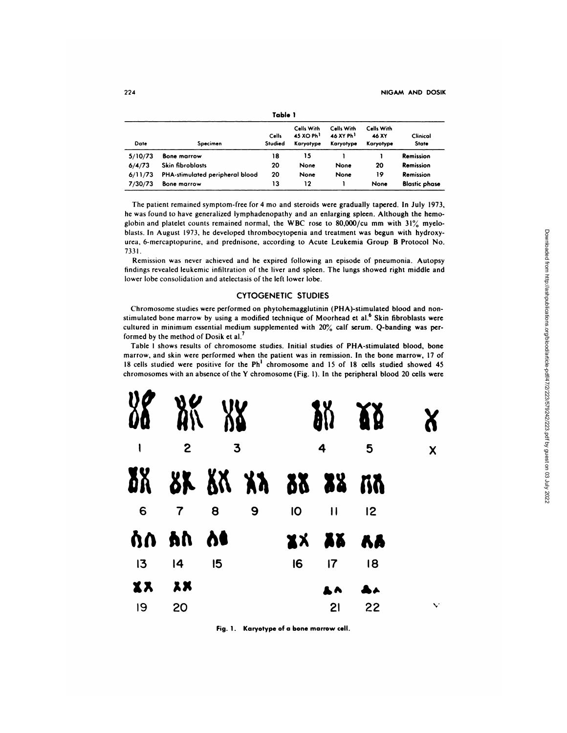| Table 1 |                                 |                  |                                                  |                                                  |                                  |                          |
|---------|---------------------------------|------------------|--------------------------------------------------|--------------------------------------------------|----------------------------------|--------------------------|
| Date    | Specimen                        | Cells<br>Studied | Cells With<br>45 XO Ph <sup>1</sup><br>Karyotype | Cells With<br>46 XY Ph <sup>1</sup><br>Karyotype | Cells With<br>46 XY<br>Karyotype | Clinical<br><b>State</b> |
| 5/10/73 | <b>Bone marrow</b>              | 18               | 15                                               |                                                  |                                  | Remission                |
| 6/4/73  | <b>Skin fibroblasts</b>         | 20               | None                                             | None                                             | 20                               | Remission                |
| 6/11/73 | PHA-stimulated peripheral blood | 20               | None                                             | None                                             | 19                               | Remission                |
| 7/30/73 | <b>Bone marrow</b>              | 13               | 12                                               |                                                  | None                             | <b>Blastic phase</b>     |

The patient remained symptom-free for 4 mo and steroids were gradually tapered. In July 1973, he was found to have generalized lymphadenopathy and an enlarging spleen. Although the hemo globin and platelet counts remained normal, the WBC rose to 80,000/cu mm with  $31\%$  myelo-blasts. In August 1973, he developed thrombocytopenia and treatment was begun with hydroxyurea, 6-mercaptopurine, and prednisone, according to Acute Leukemia Group B Protocol No.

7331.<br>Remission was never achieved and he expired following an episode of pneumonia. Autopsy findings revealed leukemic infiltration of the liver and spleen. The lungs showed right middle and lower lobe consolidation and atelectasis of the left lower lobe.

### **CYTOGENETIC STUDIES**

Chromosome studies were performed on phytohemagglutinin (PHA)-stimulated blood and non stimulated bone marrow by using a modified technique of Moorhead et al.<sup>6</sup> Skin fibroblasts were cultured in minimum essential medium supplemented with 20% calf serum. Q-banding was performed by the method of Dosik et al.<sup>7</sup>

Table I shows results of chromosome studies. Initial studies of PHA-stimulated blood, bone marrow, and skin were performed when the patient was in remission. In the bone marrow, 17 of 18 cells studied were positive for the Ph' chromosome and 15 of 18 cells studied showed 45 chromosomes with an absence of the Y chromosome (Fig. 1). In the peripheral blood 20 cells were



Fig. 1. Karyotype of a bone marrow cell.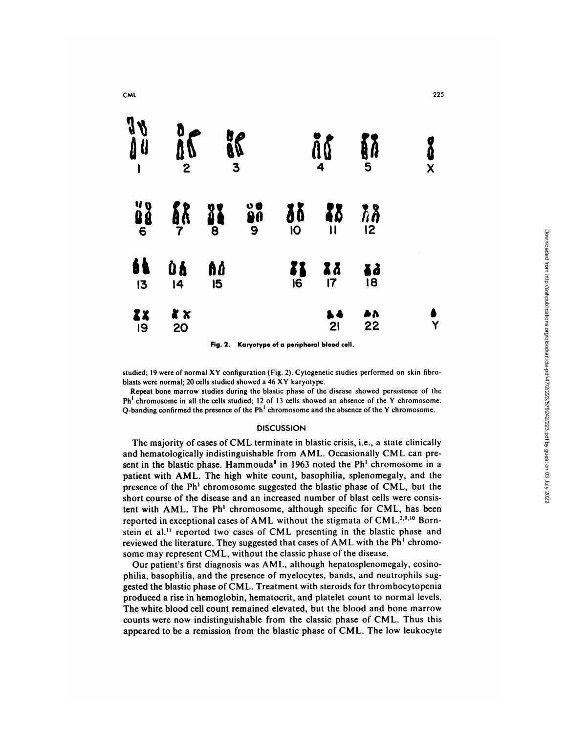

**Fig. 2. Karyotype of a peripheral blood cell.**

studied; 19 were of normal XY configuration (Fig. 2). Cytogenetic studies performed on skin fibroblasts were normal; 20 cells studied showed a 46 XY karyotype.

Repeat bone marrow studies during the blastic phase of the disease showed persistence of the  $Ph<sup>1</sup>$  chromosome in all the cells studied; 12 of 13 cells showed an absence of the Y chromosome. Q-banding confirmed the presence of the  $Ph<sup>1</sup>$  chromosome and the absence of the Y chromosome.

## **DISCUSSION**

The majority of cases of CML terminate in blastic crisis, i.e., a state clinically and hematologically indistinguishable from AML. Occasionally CML can present in the blastic phase. Hammouda<sup>8</sup> in 1963 noted the  $Ph<sup>1</sup>$  chromosome in a patient with AML. The high white count, basophilia, splenomegaly, and the presence of the Ph' chromosome suggested the blastic phase of CML, but the short course of the disease and an increased number of blast cells were consistent with AML. The Ph<sup>1</sup> chromosome, although specific for CML, has been reported in exceptional cases of AML without the stigmata of CML.<sup>2,9,10</sup> Bornstein et al.<sup>11</sup> reported two cases of CML presenting in the blastic phase and reviewed the literature. They suggested that cases of AML with the  $Ph<sup>1</sup>$  chromosome may represent CML, without the classic phase of the disease.

Our patient's first diagnosis was AML, although hepatosplenomegaly, eosinophilia, basophilia, and the presence of myelocytes, bands, and neutrophils suggested the blastic phase of CML. Treatment with steroids for thrombocytopenia produced a rise in hemoglobin, hematocrit, and platelet count to normal levels. The white blood cell count remained elevated, but the blood and bone marrow counts were now indistinguishable from the classic phase of CML. Thus this appeared to be a remission from the blastic phase of CML. The low leukocyte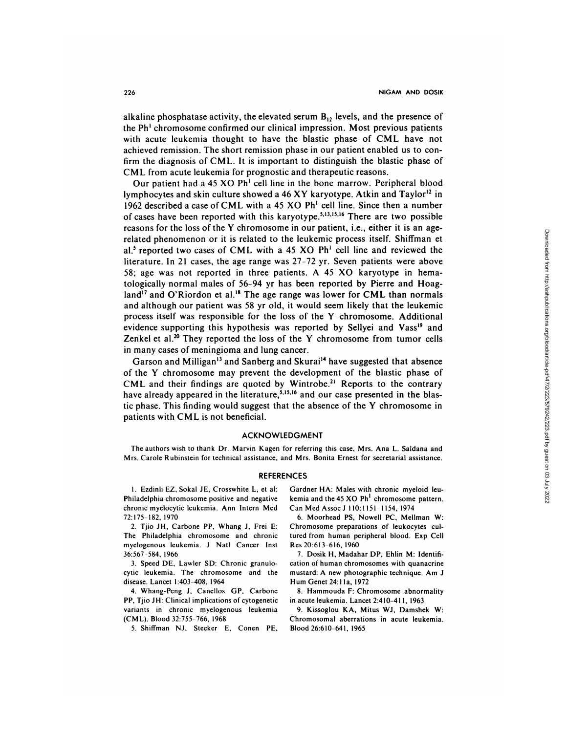alkaline phosphatase activity, the elevated serum  $B_{12}$  levels, and the presence of the Ph' chromosome confirmed our clinical impression. Most previous patients with acute leukemia thought to have the blastic phase of CML have not achieved remission. The short remission phase in our patient enabled us to confirm the diagnosis of CML. It is important to distinguish the blastic phase of CML from acute leukemia for prognostic and therapeutic reasons.

Our patient had a 45 XO Ph' cell line in the bone marrow. Peripheral blood lymphocytes and skin culture showed a 46 XY karyotype. Atkin and Taylor<sup>12</sup> in 1962 described a case ofCML with a 45 XO Ph' cell line. Since then a number of cases have been reported with this karyotype.<sup>5,13,15,16</sup> There are two possible reasons for the loss of the Y chromosome in our patient, i.e., either it is an agerelated phenomenon or it is related to the leukemic process itself. Shiffman et al.5 reported two cases of CML with a 45 **XO** Ph' cell line and reviewed the literature. In 21 cases, the age range was 27-72 yr. Seven patients were above *58;* age was not reported in three patients. A 45 **XO** karyotype in hematologically normal males of 56-94 yr has been reported by Pierre and Hoagland'7 and O'Riordon et al.'8 The age range was lower for **CML** than normals and although our patient was 58 yr old, it would seem likely that the leukemic process itself was responsible for the loss of the Y chromosome. Additional evidence supporting this hypothesis was reported by Sellyei and Vass<sup>19</sup> and Zenkel et al.<sup>20</sup> They reported the loss of the Y chromosome from tumor cells in many cases of meningioma and lung cancer.

Garson and Milligan<sup>13</sup> and Sanberg and Skurai<sup>14</sup> have suggested that absence of the Y chromosome may prevent the development of the blastic phase of CML and their findings are quoted by Wintrobe.<sup>21</sup> Reports to the contrary have already appeared in the literature,<sup>5,15,16</sup> and our case presented in the blastic phase. This finding would suggest that the absence of the Y chromosome in patients with CML is not beneficial.

### **ACKNOWLEDGMENT**

The authors wish to thank Dr. Marvin Kagen for referring this case, Mrs. Ana L. Saldana and Mrs. Carole Rubinstein for technical assistance, and Mrs. Bonita Ernest for secretarial assistance.

#### **REFERENCES**

1. Ezdinli EZ, Sokal JE, Crosswhite L, et al: Philadelphia chromosome positive and negative chronic myelocytic leukemia. Ann Intern Med 72:175-182, 1970

2. Tjio JH, Carbone PP. Whang J, Frei E: The Philadelphia chromosome and chronic myelogenous leukemia. J NatI Cancer Inst 36:567-584, 1966

3. Speed DE, Lawler SD: Chronic granulocytic leukemia. The chromosome and the disease. Lancet 1:403-408, 1964

4. Whang-Peng J, Canellos GP, Carbone PP, Tjio JH: Clinical implications of cytogenetic variants in chronic myelogenous leukemia (CML). Blood 32:755-766, 1968

*5.* Shiffman NJ, Stecker E, Conen PE,

Gardner HA: Males with chronic myeloid leu kemia and the 45 XO  $Ph<sup>1</sup>$  chromosome pattern. Can Med Associ 110:1151-1154, 1974

6. Moorhead PS, Nowell PC, Mellman W: Chromosome preparations of leukocytes cultured from human peripheral blood. Exp Cell Res 20:613-616, 1960

7. Dosik H, Madahar DP, Ehlin M: Identifi cation of human chromosomes with quanacrine mustard: A new photographic technique. Am J Hum Genet 24:1 la, 1972

8. Hammouda F: Chromosome abnormality in acute leukemia. Lancet 2:410-411, 1963

9. Kissoglou KA, Mitus Wi, Damshek W: Chromosomal aberrations in acute leukemia. Blood 26:610-641, 1965